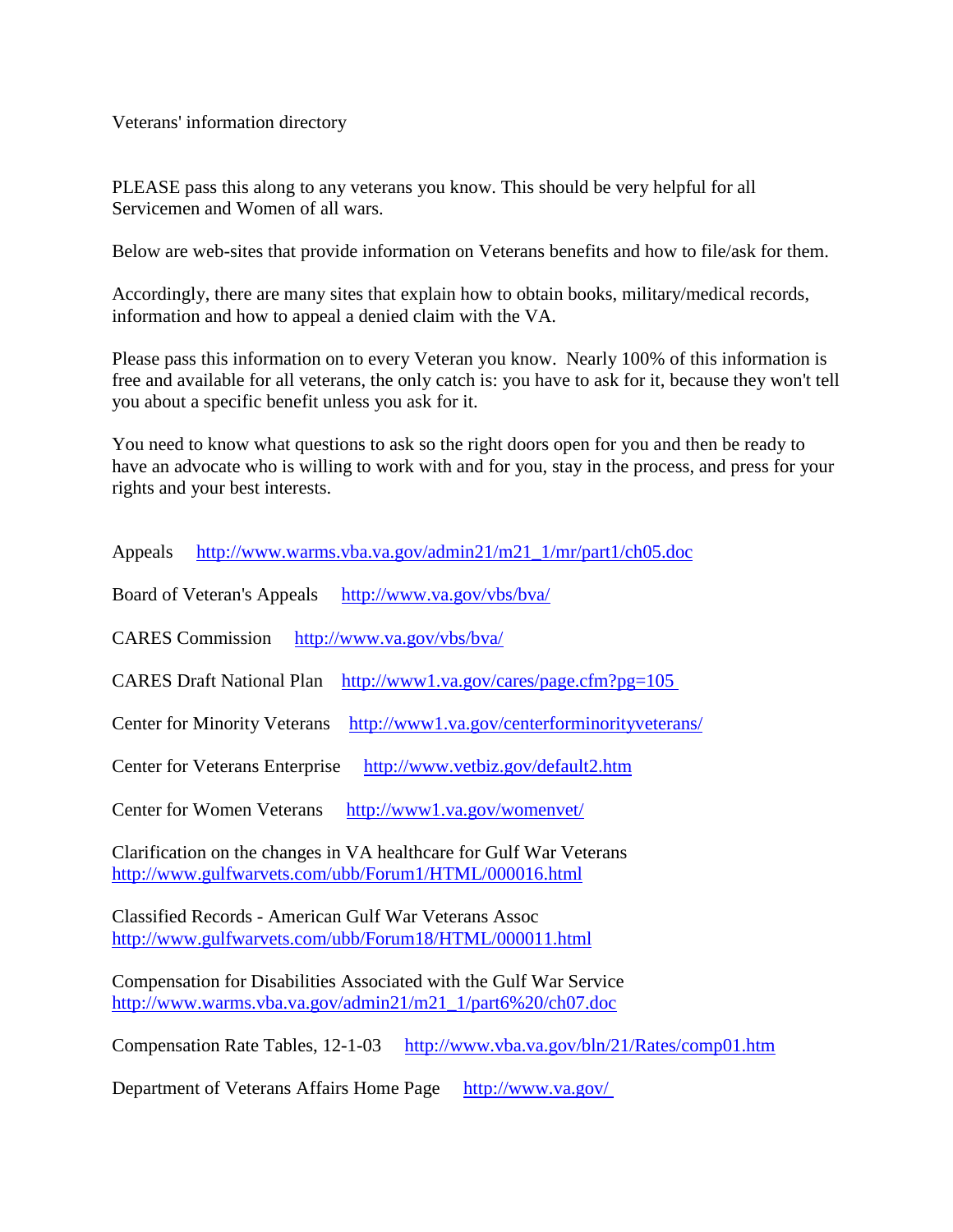Veterans' information directory

PLEASE pass this along to any veterans you know. This should be very helpful for all Servicemen and Women of all wars.

Below are web-sites that provide information on Veterans benefits and how to file/ask for them.

Accordingly, there are many sites that explain how to obtain books, military/medical records, information and how to appeal a denied claim with the VA.

Please pass this information on to every Veteran you know. Nearly 100% of this information is free and available for all veterans, the only catch is: you have to ask for it, because they won't tell you about a specific benefit unless you ask for it.

You need to know what questions to ask so the right doors open for you and then be ready to have an advocate who is willing to work with and for you, stay in the process, and press for your rights and your best interests.

Appeals [http://www.warms.vba.va.gov/admin21/m21\\_1/mr/part1/ch05.doc](http://www.warms.vba.va.gov/admin21/m21_1/mr/part1/ch05.doc)

Board of Veteran's Appeals <http://www.va.gov/vbs/bva/>

CARES Commission <http://www.va.gov/vbs/bva/>

CARES Draft National Plan [http://www1.va.gov/cares/page.cfm?pg=105](http://www1.va.gov/cares/page.cfm?pg=105%C2%A0)

Center for Minority Veterans <http://www1.va.gov/centerforminorityveterans/>

Center for Veterans Enterprise <http://www.vetbiz.gov/default2.htm>

Center for Women Veterans <http://www1.va.gov/womenvet/>

Clarification on the changes in VA healthcare for Gulf War Veterans <http://www.gulfwarvets.com/ubb/Forum1/HTML/000016.html>

Classified Records - American Gulf War Veterans Assoc <http://www.gulfwarvets.com/ubb/Forum18/HTML/000011.html>

Compensation for Disabilities Associated with the Gulf War Service [http://www.warms.vba.va.gov/admin21/m21\\_1/part6%20/ch07.doc](http://www.warms.vba.va.gov/admin21/m21_1/part6%20/ch07.doc)

Compensation Rate Tables, 12-1-03 <http://www.vba.va.gov/bln/21/Rates/comp01.htm>

Department of Veterans Affairs Home Page [http://www.va.gov/](http://www.va.gov/%C2%A0)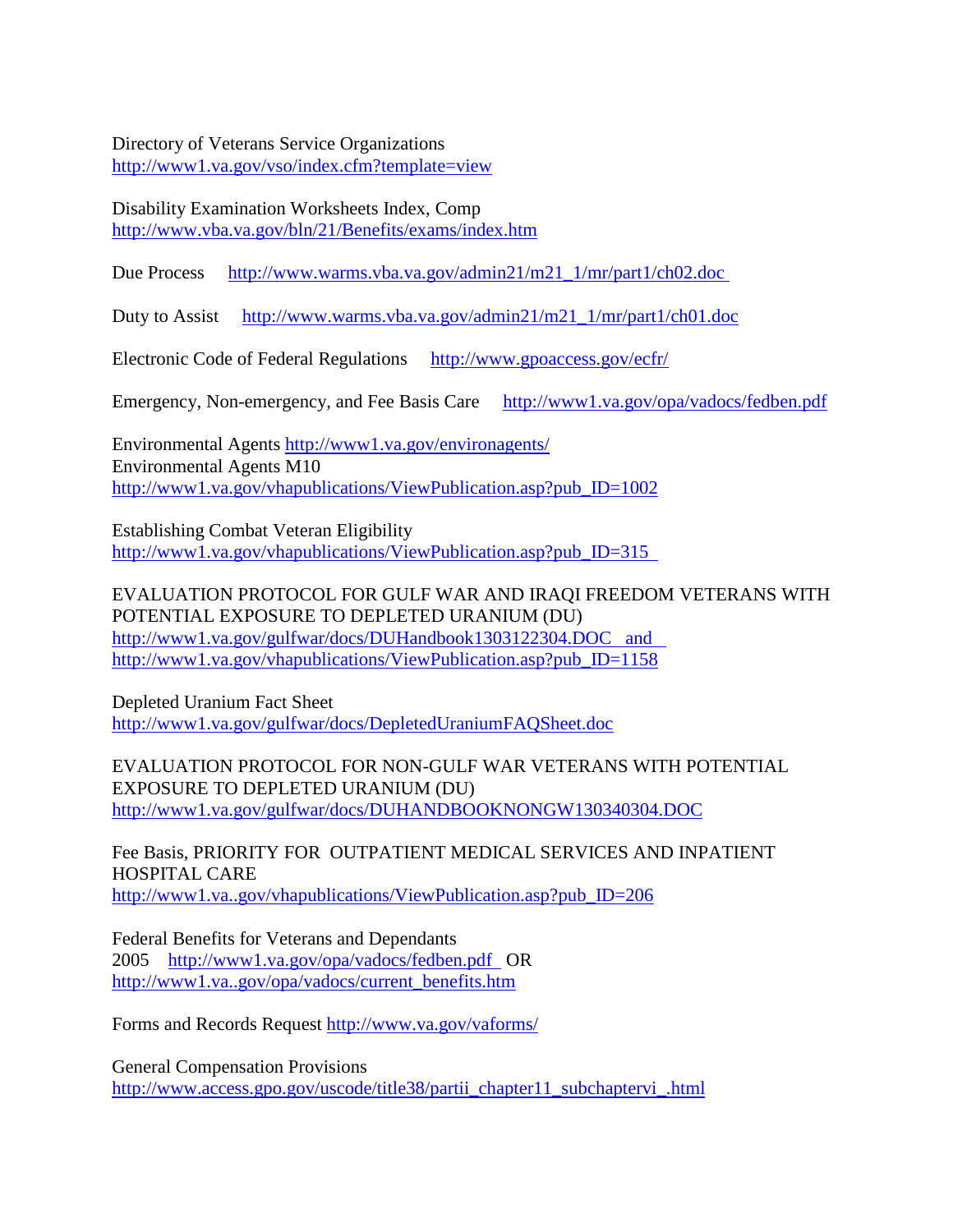Directory of Veterans Service Organizations

<http://www1.va.gov/vso/index.cfm?template=view>

Disability Examination Worksheets Index, Comp <http://www.vba.va.gov/bln/21/Benefits/exams/index.htm>

Due Process [http://www.warms.vba.va.gov/admin21/m21\\_1/mr/part1/ch02.doc](http://www.warms.vba.va.gov/admin21/m21_1/mr/part1/ch02.doc%C2%A0)

Duty to Assist [http://www.warms.vba.va.gov/admin21/m21\\_1/mr/part1/ch01.doc](http://www.warms.vba.va.gov/admin21/m21_1/mr/part1/ch01.doc)

Electronic Code of Federal Regulations <http://www.gpoaccess.gov/ecfr/>

Emergency, Non-emergency, and Fee Basis Care <http://www1.va.gov/opa/vadocs/fedben.pdf>

Environmental Agents<http://www1.va.gov/environagents/> Environmental Agents M10 [http://www1.va.gov/vhapublications/ViewPublication.asp?pub\\_ID=1002](http://www1.va.gov/vhapublications/ViewPublication.asp?pub_ID=1002)

Establishing Combat Veteran Eligibility [http://www1.va.gov/vhapublications/ViewPublication.asp?pub\\_ID=315](http://www1.va.gov/vhapublications/ViewPublication.asp?pub_ID=315%C2%A0%C2%A0) 

EVALUATION PROTOCOL FOR GULF WAR AND IRAQI FREEDOM VETERANS WITH POTENTIAL EXPOSURE TO DEPLETED URANIUM (DU) [http://www1.va.gov/gulfwar/docs/DUHandbook1303122304.DOC and](http://www1.va.gov/gulfwar/docs/DUHandbook1303122304.DOC%C2%A0%C2%A0%C2%A0and%C2%A0%C2%A0%C2%A0)  [http://www1.va.gov/vhapublications/ViewPublication.asp?pub\\_ID=1158](http://www1.va.gov/vhapublications/ViewPublication.asp?pub_ID=1158)

Depleted Uranium Fact Sheet <http://www1.va.gov/gulfwar/docs/DepletedUraniumFAQSheet.doc>

EVALUATION PROTOCOL FOR NON-GULF WAR VETERANS WITH POTENTIAL EXPOSURE TO DEPLETED URANIUM (DU) <http://www1.va.gov/gulfwar/docs/DUHANDBOOKNONGW130340304.DOC>

Fee Basis, PRIORITY FOR OUTPATIENT MEDICAL SERVICES AND INPATIENT HOSPITAL CARE [http://www1.va..gov/vhapublications/ViewPublication.asp?pub\\_ID=206](http://www1.va..gov/vhapublications/ViewPublication.asp?pub_ID=206)

Federal Benefits for Veterans and Dependants 2005 [http://www1.va.gov/opa/vadocs/fedben.pdf](http://www1.va.gov/opa/vadocs/fedben.pdf%C2%A0%C2%A0) OR [http://www1.va..gov/opa/vadocs/current\\_benefits.htm](http://www1.va..gov/opa/vadocs/current_benefits.htm)

Forms and Records Request<http://www.va.gov/vaforms/>

General Compensation Provisions [http://www.access.gpo.gov/uscode/title38/partii\\_chapter11\\_subchaptervi\\_.html](http://www.access.gpo.gov/uscode/title38/partii_chapter11_subchaptervi_.html)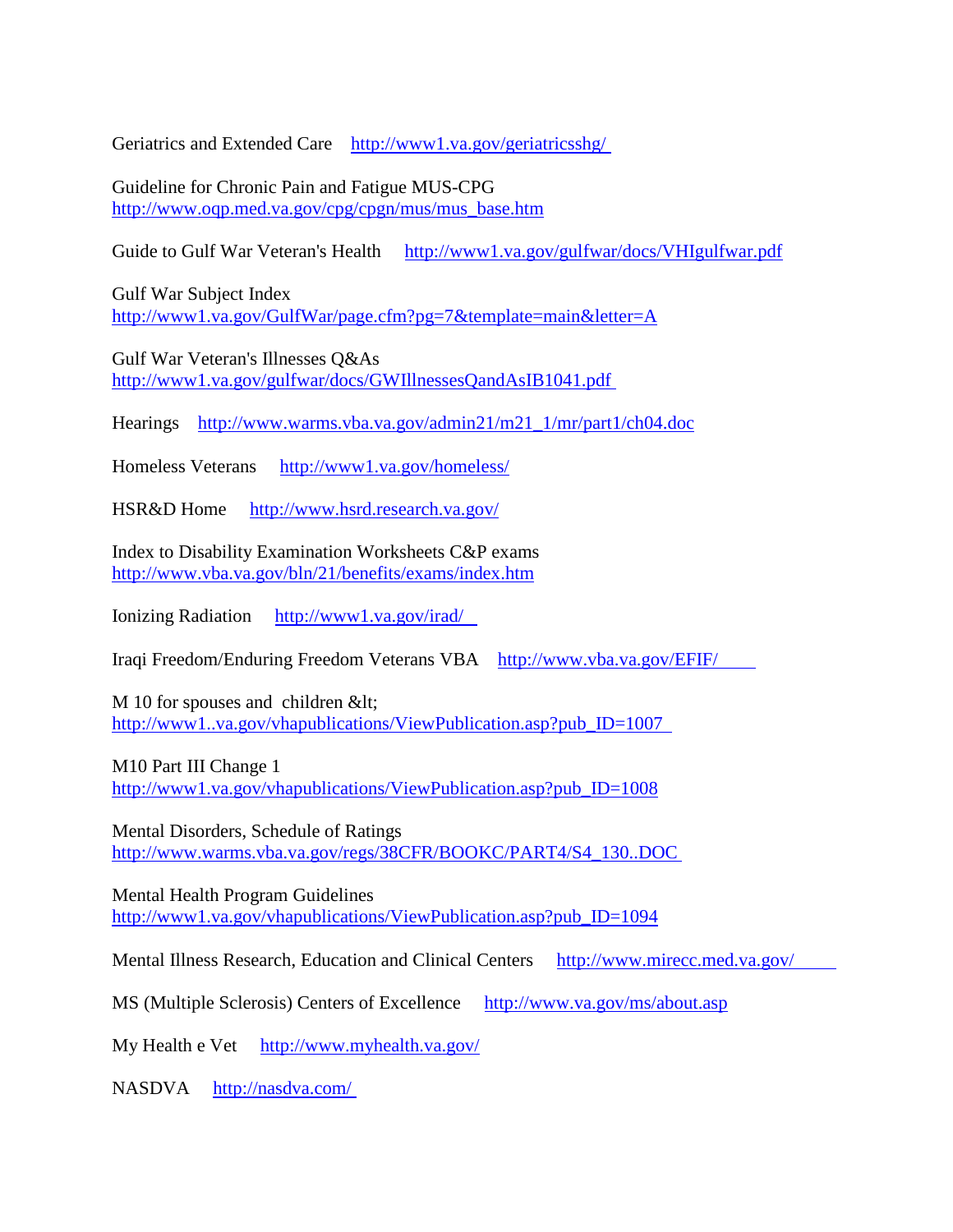Geriatrics and Extended Care [http://www1.va.gov/geriatricsshg/](http://www1.va.gov/geriatricsshg/%C2%A0)

Guideline for Chronic Pain and Fatigue MUS-CPG [http://www.oqp.med.va.gov/cpg/cpgn/mus/mus\\_base.htm](http://www.oqp.med.va.gov/cpg/cpgn/mus/mus_base.htm)

Guide to Gulf War Veteran's Health <http://www1.va.gov/gulfwar/docs/VHIgulfwar.pdf>

Gulf War Subject Index <http://www1.va.gov/GulfWar/page.cfm?pg=7&template=main&letter=A>

Gulf War Veteran's Illnesses Q&As [http://www1.va.gov/gulfwar/docs/GWIllnessesQandAsIB1041.pdf](http://www1.va.gov/gulfwar/docs/GWIllnessesQandAsIB1041.pdf%C2%A0)

Hearings [http://www.warms.vba.va.gov/admin21/m21\\_1/mr/part1/ch04.doc](http://www.warms.vba.va.gov/admin21/m21_1/mr/part1/ch04.doc)

Homeless Veterans <http://www1.va.gov/homeless/>

HSR&D Home <http://www.hsrd.research.va.gov/>

Index to Disability Examination Worksheets C&P exams <http://www.vba.va.gov/bln/21/benefits/exams/index.htm>

Ionizing Radiation [http://www1.va.gov/irad/](http://www1.va.gov/irad/%C2%A0%C2%A0%C2%A0) 

Iraqi Freedom/Enduring Freedom Veterans VBA [http://www.vba.va.gov/EFIF/](http://www.vba.va.gov/EFIF/%C2%A0%C2%A0%C2%A0%C2%A0%C2%A0%C2%A0%C2%A0%C2%A0) 

M 10 for spouses and children &It; [http://www1..va.gov/vhapublications/ViewPublication.asp?pub\\_ID=1007](http://www1..va.gov/vhapublications/ViewPublication.asp?pub_ID=1007%C2%A0%C2%A0) 

M10 Part III Change 1 [http://www1.va.gov/vhapublications/ViewPublication.asp?pub\\_ID=1008](http://www1.va.gov/vhapublications/ViewPublication.asp?pub_ID=1008)

Mental Disorders, Schedule of Ratings [http://www.warms.vba.va.gov/regs/38CFR/BOOKC/PART4/S4\\_130..DOC](http://www.warms.vba.va.gov/regs/38CFR/BOOKC/PART4/S4_130..DOC%C2%A0)

Mental Health Program Guidelines [http://www1.va.gov/vhapublications/ViewPublication.asp?pub\\_ID=1094](http://www1.va.gov/vhapublications/ViewPublication.asp?pub_ID=1094)

Mental Illness Research, Education and Clinical Centers [http://www.mirecc.med.va.gov/](http://www.mirecc.med.va.gov/%C2%A0%C2%A0%C2%A0%C2%A0%C2%A0%C2%A0%C2%A0%C2%A0%C2%A0) 

MS (Multiple Sclerosis) Centers of Excellence <http://www.va.gov/ms/about.asp>

My Health e Vet <http://www.myhealth.va.gov/>

NASDVA [http://nasdva.com/](http://nasdva.com/%C2%A0)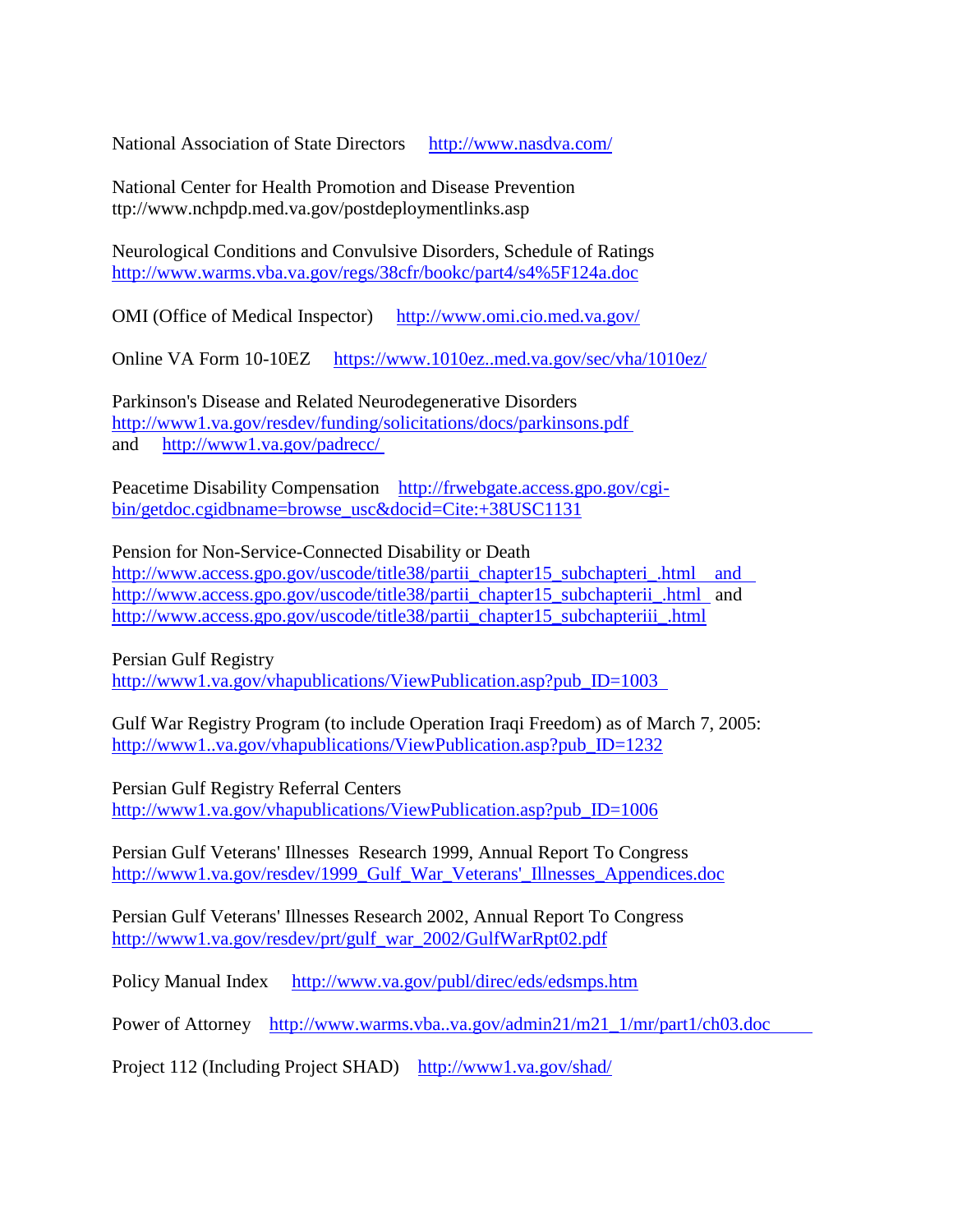National Association of State Directors <http://www.nasdva.com/>

National Center for Health Promotion and Disease Prevention ttp://www.nchpdp.med.va.gov/postdeploymentlinks.asp

Neurological Conditions and Convulsive Disorders, Schedule of Ratings [http://www.warms.vba.va.gov/regs/38cfr/bookc/part4/s4%5F124a.doc](http://www.warms.vba.va.gov/regs/38cfr/bookc/part4/s4_124a.doc)

OMI (Office of Medical Inspector) <http://www.omi.cio.med.va.gov/>

Online VA Form 10-10EZ <https://www.1010ez..med.va.gov/sec/vha/1010ez/>

Parkinson's Disease and Related Neurodegenerative Disorders [http://www1.va.gov/resdev/funding/solicitations/docs/parkinsons.pdf](http://www1.va.gov/resdev/funding/solicitations/docs/parkinsons.pdf%C2%A0) and [http://www1.va.gov/padrecc/](http://www1.va.gov/padrecc/%C2%A0)

Peacetime Disability Compensation [http://frwebgate.access.gpo.gov/cgi](http://frwebgate.access.gpo.gov/cgi-bin/getdoc.cgidbname=browse_usc&docid=Cite:+38USC1131)[bin/getdoc.cgidbname=browse\\_usc&docid=Cite:+38USC1131](http://frwebgate.access.gpo.gov/cgi-bin/getdoc.cgidbname=browse_usc&docid=Cite:+38USC1131)

Pension for Non-Service-Connected Disability or Death http://www.access.gpo.gov/uscode/title38/partii chapter15 subchapteri.html and [http://www.access.gpo.gov/uscode/title38/partii\\_chapter15\\_subchapterii\\_.html](http://www.access.gpo.gov/uscode/title38/partii_chapter15_subchapterii_.html%C2%A0%C2%A0) and [http://www.access.gpo.gov/uscode/title38/partii\\_chapter15\\_subchapteriii\\_.html](http://www.access.gpo.gov/uscode/title38/partii_chapter15_subchapteriii_.html)

Persian Gulf Registry

http://www1.va.gov/vhapublications/ViewPublication.asp?pub\_ID=1003

Gulf War Registry Program (to include Operation Iraqi Freedom) as of March 7, 2005: [http://www1..va.gov/vhapublications/ViewPublication.asp?pub\\_ID=1232](http://www1..va.gov/vhapublications/ViewPublication.asp?pub_ID=1232)

Persian Gulf Registry Referral Centers [http://www1.va.gov/vhapublications/ViewPublication.asp?pub\\_ID=1006](http://www1.va.gov/vhapublications/ViewPublication.asp?pub_ID=1006)

Persian Gulf Veterans' Illnesses Research 1999, Annual Report To Congress [http://www1.va.gov/resdev/1999\\_Gulf\\_War\\_Veterans'\\_Illnesses\\_Appendices.doc](http://www1.va.gov/resdev/1999_Gulf_War_Veterans%27_Illnesses_Appendices.doc)

Persian Gulf Veterans' Illnesses Research 2002, Annual Report To Congress [http://www1.va.gov/resdev/prt/gulf\\_war\\_2002/GulfWarRpt02.pdf](http://www1.va.gov/resdev/prt/gulf_war_2002/GulfWarRpt02.pdf)

Policy Manual Index <http://www.va.gov/publ/direc/eds/edsmps.htm>

Power of Attorney http://www.warms.vba..va.gov/admin21/m21\_1/mr/part1/ch03.doc

Project 112 (Including Project SHAD) <http://www1.va.gov/shad/>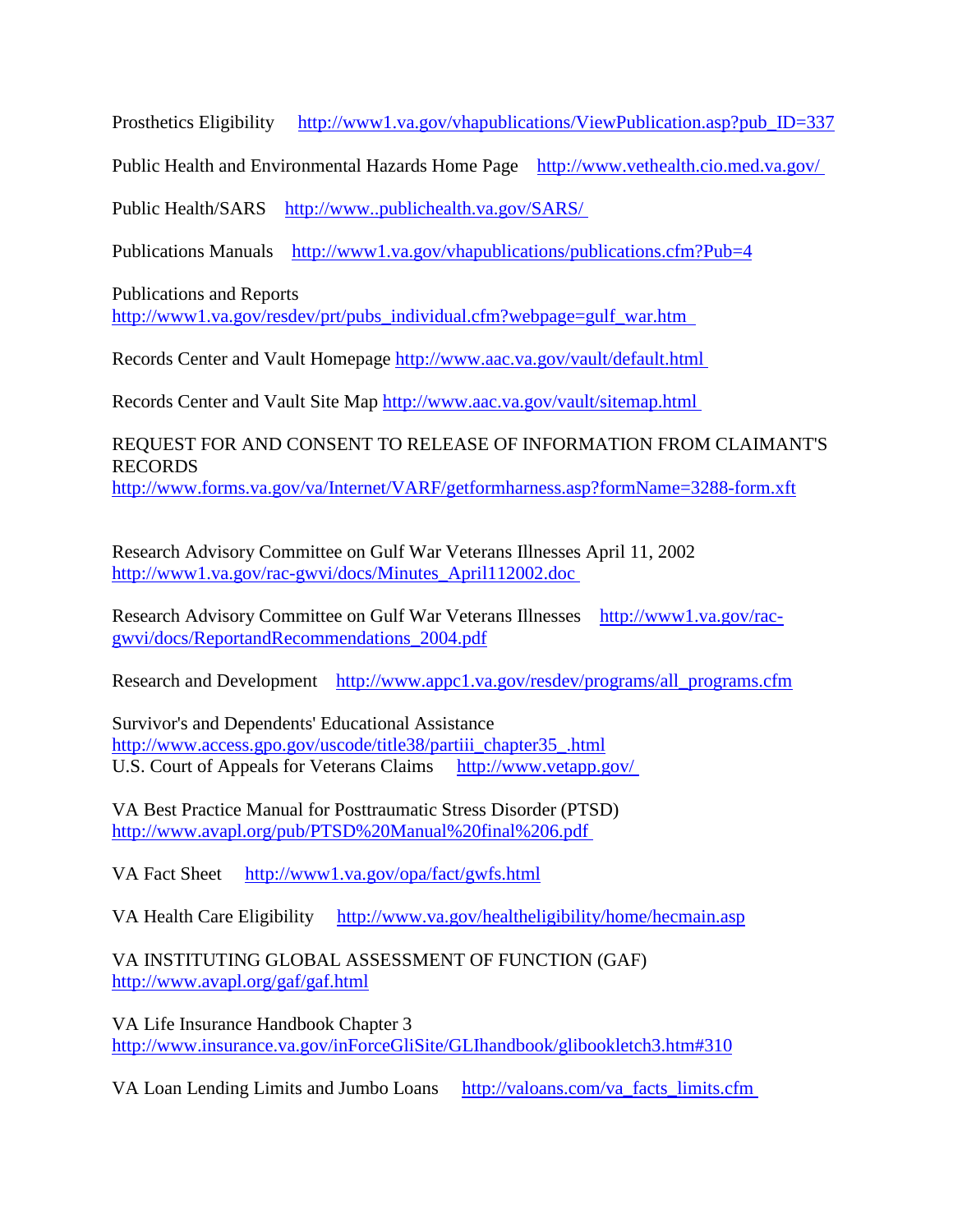Prosthetics Eligibility [http://www1.va.gov/vhapublications/ViewPublication.asp?pub\\_ID=337](http://www1.va.gov/vhapublications/ViewPublication.asp?pub_ID=337)

Public Health and Environmental Hazards Home Page [http://www.vethealth.cio.med.va.gov/](http://www.vethealth.cio.med.va.gov/%C2%A0)

Public Health/SARS [http://www..publichealth.va.gov/SARS/](http://www..publichealth.va.gov/SARS/%C2%A0)

Publications Manuals <http://www1.va.gov/vhapublications/publications.cfm?Pub=4>

Publications and Reports [http://www1.va.gov/resdev/prt/pubs\\_individual.cfm?webpage=gulf\\_war.htm](http://www1.va.gov/resdev/prt/pubs_individual.cfm?webpage=gulf_war.htm%C2%A0%C2%A0) 

Records Center and Vault Homepage [http://www.aac.va.gov/vault/default.html](http://www.aac.va.gov/vault/default.html%C2%A0)

Records Center and Vault Site Map [http://www.aac.va.gov/vault/sitemap.html](http://www.aac.va.gov/vault/sitemap.html%C2%A0)

REQUEST FOR AND CONSENT TO RELEASE OF INFORMATION FROM CLAIMANT'S RECORDS <http://www.forms.va.gov/va/Internet/VARF/getformharness.asp?formName=3288-form.xft>

Research Advisory Committee on Gulf War Veterans Illnesses April 11, 2002 [http://www1.va.gov/rac-gwvi/docs/Minutes\\_April112002.doc](http://www1.va.gov/rac-gwvi/docs/Minutes_April112002.doc%C2%A0)

Research Advisory Committee on Gulf War Veterans Illnesses [http://www1.va.gov/rac](http://www1.va.gov/rac-gwvi/docs/ReportandRecommendations_2004.pdf)[gwvi/docs/ReportandRecommendations\\_2004.pdf](http://www1.va.gov/rac-gwvi/docs/ReportandRecommendations_2004.pdf)

Research and Development [http://www.appc1.va.gov/resdev/programs/all\\_programs.cfm](http://www.appc1.va.gov/resdev/programs/all_programs.cfm)

Survivor's and Dependents' Educational Assistance [http://www.access.gpo.gov/uscode/title38/partiii\\_chapter35\\_.html](http://www.access.gpo.gov/uscode/title38/partiii_chapter35_.html) U.S. Court of Appeals for Veterans Claims [http://www.vetapp.gov/](http://www.vetapp.gov/%C2%A0)

VA Best Practice Manual for Posttraumatic Stress Disorder (PTSD) [http://www.avapl.org/pub/PTSD%20Manual%20final%206.pdf](http://www.avapl.org/pub/PTSD%20Manual%20final%206.pdf%C2%A0)

VA Fact Sheet <http://www1.va.gov/opa/fact/gwfs.html>

VA Health Care Eligibility <http://www.va.gov/healtheligibility/home/hecmain.asp>

VA INSTITUTING GLOBAL ASSESSMENT OF FUNCTION (GAF) <http://www.avapl.org/gaf/gaf.html>

VA Life Insurance Handbook Chapter 3 <http://www.insurance.va.gov/inForceGliSite/GLIhandbook/glibookletch3.htm#310>

VA Loan Lending Limits and Jumbo Loans [http://valoans.com/va\\_facts\\_limits.cfm](http://valoans.com/va_facts_limits.cfm%C2%A0)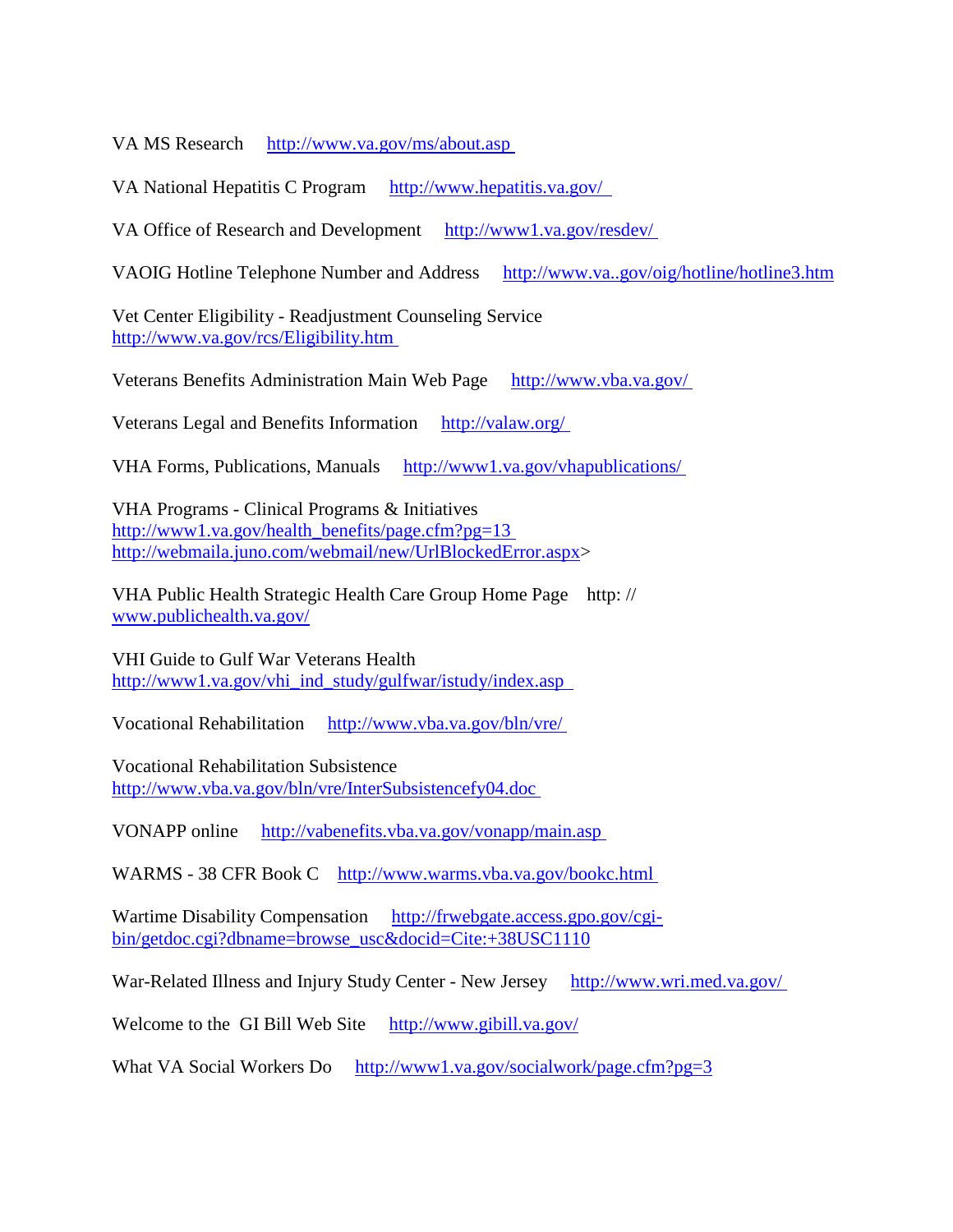VA MS Research [http://www.va.gov/ms/about.asp](http://www.va.gov/ms/about.asp%C2%A0)

VA National Hepatitis C Program http://www.hepatitis.va.gov/

VA Office of Research and Development [http://www1.va.gov/resdev/](http://www1.va.gov/resdev/%C2%A0)

VAOIG Hotline Telephone Number and Address <http://www.va..gov/oig/hotline/hotline3.htm>

Vet Center Eligibility - Readjustment Counseling Service [http://www.va.gov/rcs/Eligibility.htm](http://www.va.gov/rcs/Eligibility.htm%C2%A0)

Veterans Benefits Administration Main Web Page [http://www.vba.va.gov/](http://www.vba.va.gov/%C2%A0)

Veterans Legal and Benefits Information [http://valaw.org/](http://valaw.org/%C2%A0)

VHA Forms, Publications, Manuals [http://www1.va.gov/vhapublications/](http://www1.va.gov/vhapublications/%C2%A0)

VHA Programs - Clinical Programs & Initiatives [http://www1.va.gov/health\\_benefits/page.cfm?pg=13](http://www1.va.gov/health_benefits/page.cfm?pg=13%C2%A0) [http://webmaila.juno.com/webmail/new/UrlBlockedError.aspx>](http://webmaila.juno.com/webmail/new/UrlBlockedError.aspx)

VHA Public Health Strategic Health Care Group Home Page http: // [www.publichealth.va.gov/](http://www.publichealth.va.gov/) 

VHI Guide to Gulf War Veterans Health [http://www1.va.gov/vhi\\_ind\\_study/gulfwar/istudy/index.asp](http://www1.va.gov/vhi_ind_study/gulfwar/istudy/index.asp%C2%A0%C2%A0) 

Vocational Rehabilitation [http://www.vba.va.gov/bln/vre/](http://www.vba.va.gov/bln/vre/%C2%A0)

Vocational Rehabilitation Subsistence [http://www.vba.va.gov/bln/vre/InterSubsistencefy04.doc](http://www.vba.va.gov/bln/vre/InterSubsistencefy04.doc%C2%A0)

VONAPP online [http://vabenefits.vba.va.gov/vonapp/main.asp](http://vabenefits.vba.va.gov/vonapp/main.asp%C2%A0)

WARMS - 38 CFR Book C [http://www.warms.vba.va.gov/bookc.html](http://www.warms.vba.va.gov/bookc.html%C2%A0)

Wartime Disability Compensation [http://frwebgate.access.gpo.gov/cgi](http://frwebgate.access.gpo.gov/cgi-bin/getdoc.cgi?dbname=browse_usc&docid=Cite:+38USC1110)[bin/getdoc.cgi?dbname=browse\\_usc&docid=Cite:+38USC1110](http://frwebgate.access.gpo.gov/cgi-bin/getdoc.cgi?dbname=browse_usc&docid=Cite:+38USC1110)

War-Related Illness and Injury Study Center - New Jersey [http://www.wri.med.va.gov/](http://www.wri.med.va.gov/%C2%A0)

Welcome to the GI Bill Web Site <http://www.gibill.va.gov/>

What VA Social Workers Do <http://www1.va.gov/socialwork/page.cfm?pg=3>